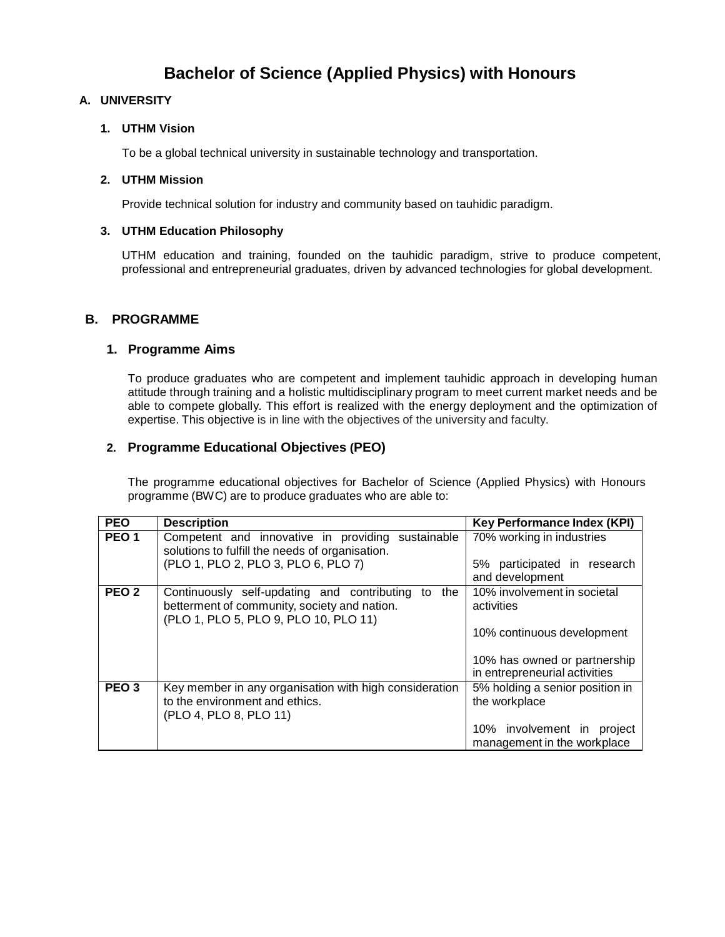# **Bachelor of Science (Applied Physics) with Honours**

## **A. UNIVERSITY**

#### **1. UTHM Vision**

To be a global technical university in sustainable technology and transportation.

#### **2. UTHM Mission**

Provide technical solution for industry and community based on tauhidic paradigm.

#### **3. UTHM Education Philosophy**

UTHM education and training, founded on the tauhidic paradigm, strive to produce competent, professional and entrepreneurial graduates, driven by advanced technologies for global development.

# **B. PROGRAMME**

#### **1. Programme Aims**

To produce graduates who are competent and implement tauhidic approach in developing human attitude through training and a holistic multidisciplinary program to meet current market needs and be able to compete globally. This effort is realized with the energy deployment and the optimization of expertise. This objective is in line with the objectives of the university and faculty.

## **2. Programme Educational Objectives (PEO)**

The programme educational objectives for Bachelor of Science (Applied Physics) with Honours programme (BWC) are to produce graduates who are able to:

| <b>PEO</b>       | <b>Description</b>                                                                                                                                | <b>Key Performance Index (KPI)</b>                                                                                                       |
|------------------|---------------------------------------------------------------------------------------------------------------------------------------------------|------------------------------------------------------------------------------------------------------------------------------------------|
| PEO <sub>1</sub> | Competent and innovative in providing sustainable<br>solutions to fulfill the needs of organisation.<br>(PLO 1, PLO 2, PLO 3, PLO 6, PLO 7)       | 70% working in industries<br>participated in research<br>5%<br>and development                                                           |
| PEO <sub>2</sub> | Continuously self-updating and contributing<br>the<br>to<br>betterment of community, society and nation.<br>(PLO 1, PLO 5, PLO 9, PLO 10, PLO 11) | 10% involvement in societal<br>activities<br>10% continuous development<br>10% has owned or partnership<br>in entrepreneurial activities |
| PEO <sub>3</sub> | Key member in any organisation with high consideration<br>to the environment and ethics.<br>(PLO 4, PLO 8, PLO 11)                                | 5% holding a senior position in<br>the workplace<br>10% involvement in project<br>management in the workplace                            |